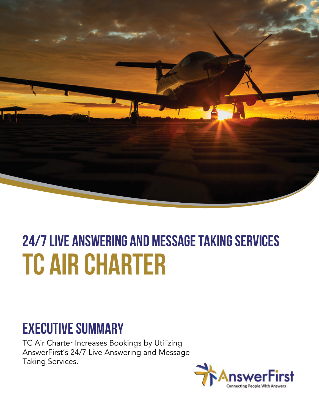

# **24/7 live answering and message taking services TC AIR CHARTER**

#### **Executive Summary**

TC Air Charter Increases Bookings by Utilizing AnswerFirst's 24/7 Live Answering and Message Taking Services.